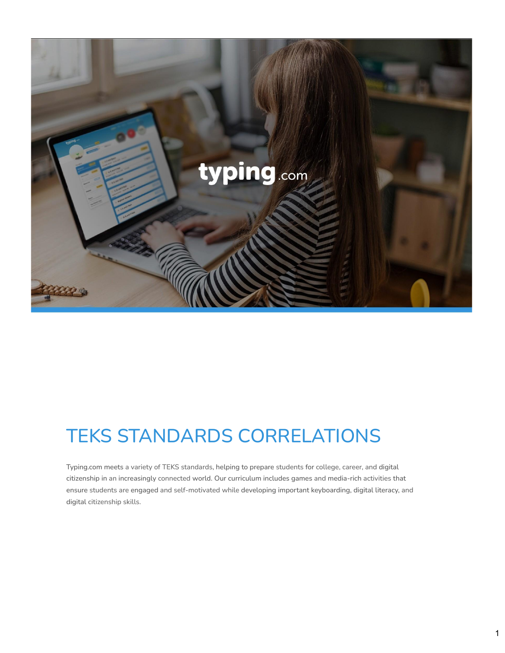

### TEKS STANDARDS CORRELATIONS

Typing.com meets a variety of TEKS standards, helping to prepare students for college, career, and digital citizenship in an increasingly connected world. Our curriculum includes games and media-rich activities that ensure students are engaged and self-motivated while developing important keyboarding, digital literacy, and digital citizenship skills.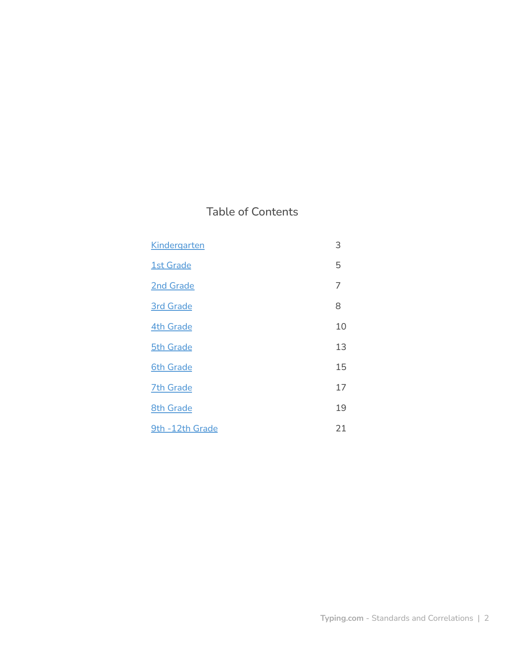### Table of Contents

| Kindergarten     | 3  |
|------------------|----|
| <b>1st Grade</b> | 5  |
| 2nd Grade        | 7  |
| <b>3rd Grade</b> | 8  |
| <b>4th Grade</b> | 10 |
| <b>5th Grade</b> | 13 |
| <b>6th Grade</b> | 15 |
| <b>7th Grade</b> | 17 |
| <b>8th Grade</b> | 19 |
| 9th -12th Grade  | 21 |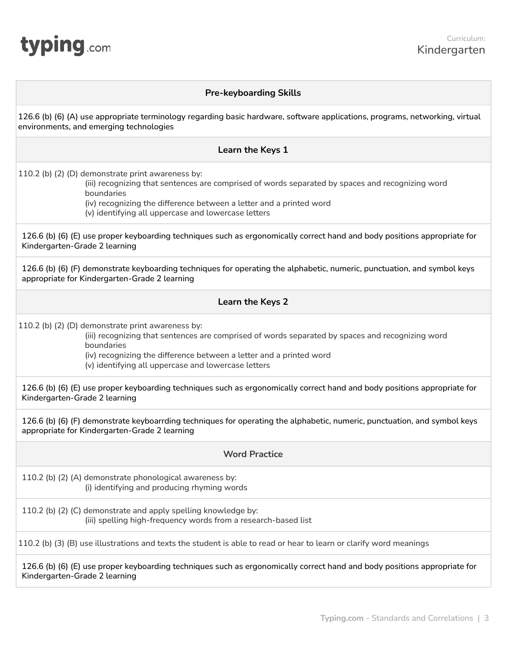<span id="page-2-0"></span>

#### **Pre-keyboarding Skills**

126.6 (b) (6) (A) use appropriate terminology regarding basic hardware, software applications, programs, networking, virtual environments, and emerging technologies

#### **Learn the Keys 1**

110.2 (b) (2) (D) demonstrate print awareness by:

(iii) recognizing that sentences are comprised of words separated by spaces and recognizing word boundaries

(iv) recognizing the difference between a letter and a printed word

(v) identifying all uppercase and lowercase letters

126.6 (b) (6) (E) use proper keyboarding techniques such as ergonomically correct hand and body positions appropriate for Kindergarten-Grade 2 learning

126.6 (b) (6) (F) demonstrate keyboarding techniques for operating the alphabetic, numeric, punctuation, and symbol keys appropriate for Kindergarten-Grade 2 learning

#### **Learn the Keys 2**

110.2 (b) (2) (D) demonstrate print awareness by:

(iii) recognizing that sentences are comprised of words separated by spaces and recognizing word boundaries

(iv) recognizing the difference between a letter and a printed word

(v) identifying all uppercase and lowercase letters

126.6 (b) (6) (E) use proper keyboarding techniques such as ergonomically correct hand and body positions appropriate for Kindergarten-Grade 2 learning

126.6 (b) (6) (F) demonstrate keyboarrding techniques for operating the alphabetic, numeric, punctuation, and symbol keys appropriate for Kindergarten-Grade 2 learning

#### **Word Practice**

110.2 (b) (2) (A) demonstrate phonological awareness by: (i) identifying and producing rhyming words

110.2 (b) (2) (C) demonstrate and apply spelling knowledge by: (iii) spelling high-frequency words from a research-based list

110.2 (b) (3) (B) use illustrations and texts the student is able to read or hear to learn or clarify word meanings

126.6 (b) (6) (E) use proper keyboarding techniques such as ergonomically correct hand and body positions appropriate for Kindergarten-Grade 2 learning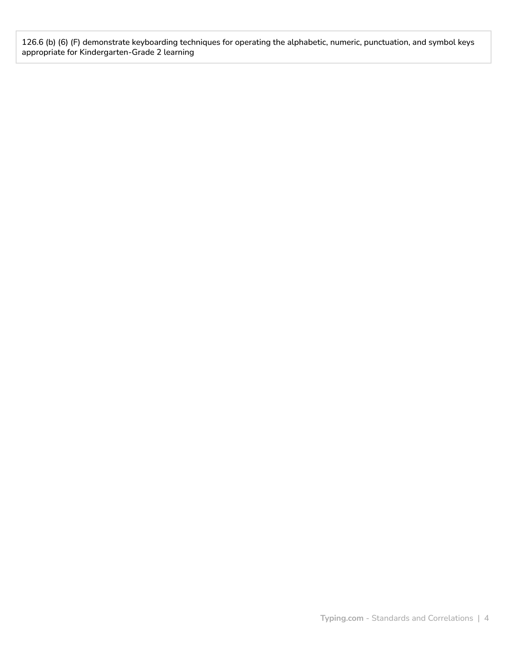126.6 (b) (6) (F) demonstrate keyboarding techniques for operating the alphabetic, numeric, punctuation, and symbol keys appropriate for Kindergarten-Grade 2 learning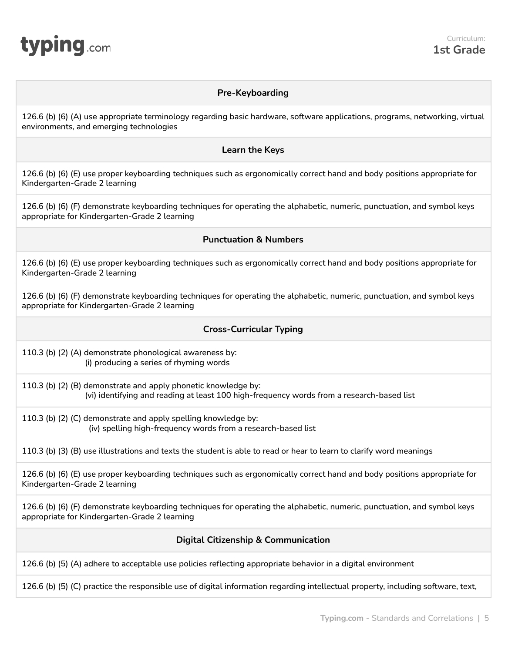<span id="page-4-0"></span>

#### **Pre-Keyboarding**

126.6 (b) (6) (A) use appropriate terminology regarding basic hardware, software applications, programs, networking, virtual environments, and emerging technologies

#### **Learn the Keys**

126.6 (b) (6) (E) use proper keyboarding techniques such as ergonomically correct hand and body positions appropriate for Kindergarten-Grade 2 learning

126.6 (b) (6) (F) demonstrate keyboarding techniques for operating the alphabetic, numeric, punctuation, and symbol keys appropriate for Kindergarten-Grade 2 learning

#### **Punctuation & Numbers**

126.6 (b) (6) (E) use proper keyboarding techniques such as ergonomically correct hand and body positions appropriate for Kindergarten-Grade 2 learning

126.6 (b) (6) (F) demonstrate keyboarding techniques for operating the alphabetic, numeric, punctuation, and symbol keys appropriate for Kindergarten-Grade 2 learning

#### **Cross-Curricular Typing**

110.3 (b) (2) (A) demonstrate phonological awareness by: (i) producing a series of rhyming words

110.3 (b) (2) (B) demonstrate and apply phonetic knowledge by: (vi) identifying and reading at least 100 high-frequency words from a research-based list

110.3 (b) (2) (C) demonstrate and apply spelling knowledge by: (iv) spelling high-frequency words from a research-based list

110.3 (b) (3) (B) use illustrations and texts the student is able to read or hear to learn to clarify word meanings

126.6 (b) (6) (E) use proper keyboarding techniques such as ergonomically correct hand and body positions appropriate for Kindergarten-Grade 2 learning

126.6 (b) (6) (F) demonstrate keyboarding techniques for operating the alphabetic, numeric, punctuation, and symbol keys appropriate for Kindergarten-Grade 2 learning

#### **Digital Citizenship & Communication**

126.6 (b) (5) (A) adhere to acceptable use policies reflecting appropriate behavior in a digital environment

126.6 (b) (5) (C) practice the responsible use of digital information regarding intellectual property, including software, text,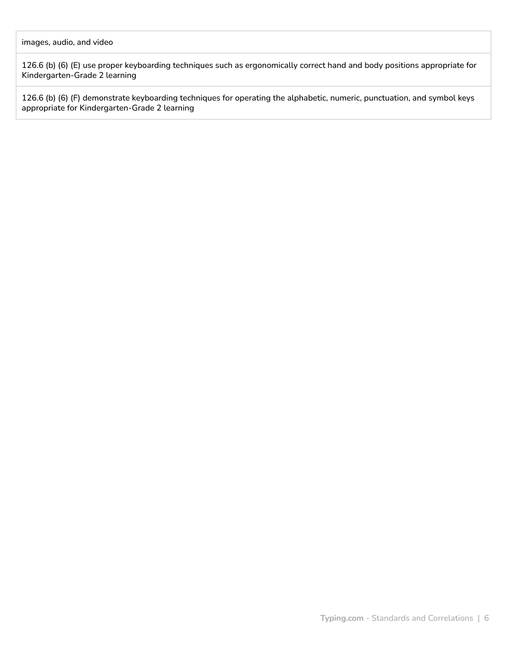126.6 (b) (6) (E) use proper keyboarding techniques such as ergonomically correct hand and body positions appropriate for Kindergarten-Grade 2 learning

126.6 (b) (6) (F) demonstrate keyboarding techniques for operating the alphabetic, numeric, punctuation, and symbol keys appropriate for Kindergarten-Grade 2 learning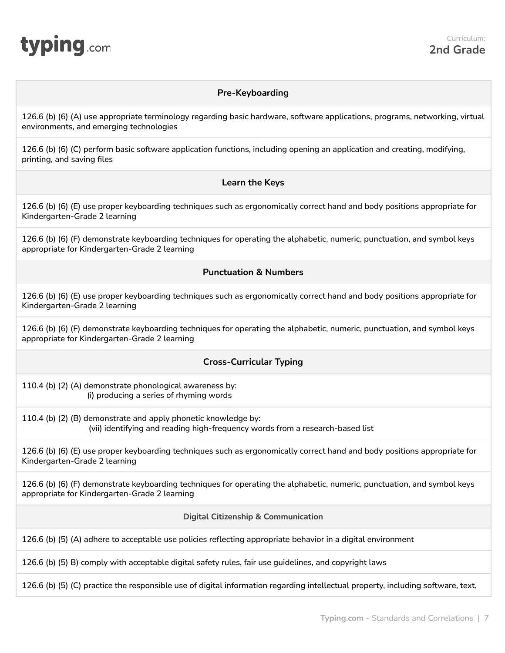<span id="page-6-0"></span>

#### **Pre-Keyboarding**

126.6 (b) (6) (A) use appropriate terminology regarding basic hardware, software applications, programs, networking, virtual environments, and emerging technologies

126.6 (b) (6) (C) perform basic software application functions, including opening an application and creating, modifying, printing, and saving files

#### **Learn the Keys**

126.6 (b) (6) (E) use proper keyboarding techniques such as ergonomically correct hand and body positions appropriate for Kindergarten-Grade 2 learning

126.6 (b) (6) (F) demonstrate keyboarding techniques for operating the alphabetic, numeric, punctuation, and symbol keys appropriate for Kindergarten-Grade 2 learning

#### **Punctuation & Numbers**

126.6 (b) (6) (E) use proper keyboarding techniques such as ergonomically correct hand and body positions appropriate for Kindergarten-Grade 2 learning

126.6 (b) (6) (F) demonstrate keyboarding techniques for operating the alphabetic, numeric, punctuation, and symbol keys appropriate for Kindergarten-Grade 2 learning

#### **Cross-Curricular Typing**

110.4 (b) (2) (A) demonstrate phonological awareness by: (i) producing a series of rhyming words

110.4 (b) (2) (B) demonstrate and apply phonetic knowledge by: (vii) identifying and reading high-frequency words from a research-based list

126.6 (b) (6) (E) use proper keyboarding techniques such as ergonomically correct hand and body positions appropriate for Kindergarten-Grade 2 learning

126.6 (b) (6) (F) demonstrate keyboarding techniques for operating the alphabetic, numeric, punctuation, and symbol keys appropriate for Kindergarten-Grade 2 learning

**Digital Citizenship & Communication**

126.6 (b) (5) (A) adhere to acceptable use policies reflecting appropriate behavior in a digital environment

126.6 (b) (5) B) comply with acceptable digital safety rules, fair use guidelines, and copyright laws

126.6 (b) (5) (C) practice the responsible use of digital information regarding intellectual property, including software, text,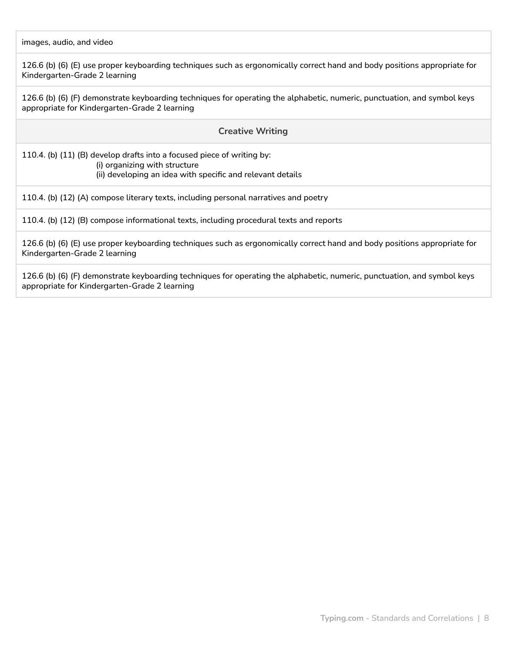images, audio, and video

126.6 (b) (6) (E) use proper keyboarding techniques such as ergonomically correct hand and body positions appropriate for Kindergarten-Grade 2 learning

126.6 (b) (6) (F) demonstrate keyboarding techniques for operating the alphabetic, numeric, punctuation, and symbol keys appropriate for Kindergarten-Grade 2 learning

#### **Creative Writing**

110.4. (b) (11) (B) develop drafts into a focused piece of writing by: (i) organizing with structure (ii) developing an idea with specific and relevant details

110.4. (b) (12) (A) compose literary texts, including personal narratives and poetry

110.4. (b) (12) (B) compose informational texts, including procedural texts and reports

126.6 (b) (6) (E) use proper keyboarding techniques such as ergonomically correct hand and body positions appropriate for Kindergarten-Grade 2 learning

126.6 (b) (6) (F) demonstrate keyboarding techniques for operating the alphabetic, numeric, punctuation, and symbol keys appropriate for Kindergarten-Grade 2 learning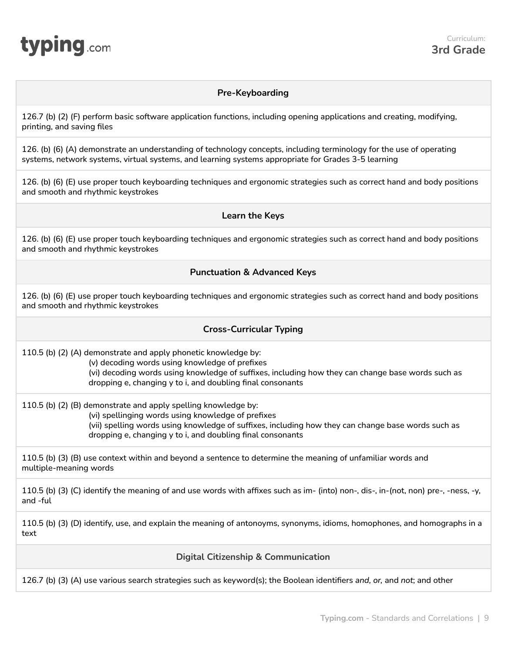<span id="page-8-0"></span>

#### **Pre-Keyboarding**

126.7 (b) (2) (F) perform basic software application functions, including opening applications and creating, modifying, printing, and saving files

126. (b) (6) (A) demonstrate an understanding of technology concepts, including terminology for the use of operating systems, network systems, virtual systems, and learning systems appropriate for Grades 3-5 learning

126. (b) (6) (E) use proper touch keyboarding techniques and ergonomic strategies such as correct hand and body positions and smooth and rhythmic keystrokes

#### **Learn the Keys**

126. (b) (6) (E) use proper touch keyboarding techniques and ergonomic strategies such as correct hand and body positions and smooth and rhythmic keystrokes

#### **Punctuation & Advanced Keys**

126. (b) (6) (E) use proper touch keyboarding techniques and ergonomic strategies such as correct hand and body positions and smooth and rhythmic keystrokes

#### **Cross-Curricular Typing**

110.5 (b) (2) (A) demonstrate and apply phonetic knowledge by:

(v) decoding words using knowledge of prefixes (vi) decoding words using knowledge of suffixes, including how they can change base words such as dropping e, changing y to i, and doubling final consonants

110.5 (b) (2) (B) demonstrate and apply spelling knowledge by:

(vi) spellinging words using knowledge of prefixes (vii) spelling words using knowledge of suffixes, including how they can change base words such as dropping e, changing y to i, and doubling final consonants

110.5 (b) (3) (B) use context within and beyond a sentence to determine the meaning of unfamiliar words and multiple-meaning words

110.5 (b) (3) (C) identify the meaning of and use words with affixes such as im- (into) non-, dis-, in-(not, non) pre-, -ness, -y, and -ful

110.5 (b) (3) (D) identify, use, and explain the meaning of antonoyms, synonyms, idioms, homophones, and homographs in a text

**Digital Citizenship & Communication**

126.7 (b) (3) (A) use various search strategies such as keyword(s); the Boolean identifiers *and, or,* and *not*; and other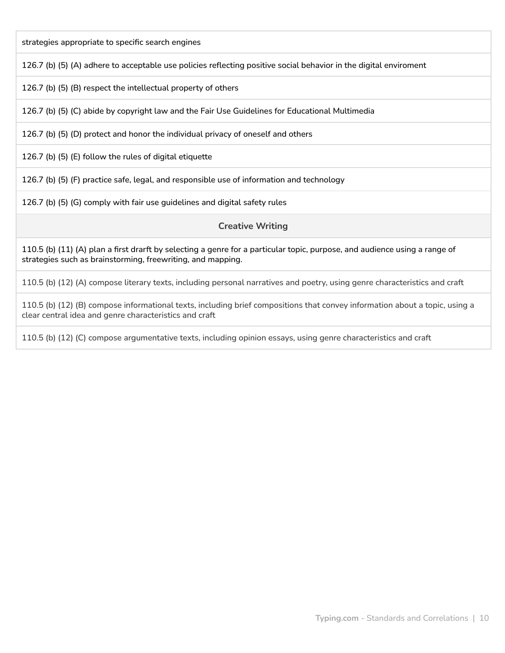strategies appropriate to specific search engines

126.7 (b) (5) (A) adhere to acceptable use policies reflecting positive social behavior in the digital enviroment

126.7 (b) (5) (B) respect the intellectual property of others

126.7 (b) (5) (C) abide by copyright law and the Fair Use Guidelines for Educational Multimedia

126.7 (b) (5) (D) protect and honor the individual privacy of oneself and others

126.7 (b) (5) (E) follow the rules of digital etiquette

126.7 (b) (5) (F) practice safe, legal, and responsible use of information and technology

126.7 (b) (5) (G) comply with fair use guidelines and digital safety rules

**Creative Writing**

110.5 (b) (11) (A) plan a first drarft by selecting a genre for a particular topic, purpose, and audience using a range of strategies such as brainstorming, freewriting, and mapping.

110.5 (b) (12) (A) compose literary texts, including personal narratives and poetry, using genre characteristics and craft

110.5 (b) (12) (B) compose informational texts, including brief compositions that convey information about a topic, using a clear central idea and genre characteristics and craft

110.5 (b) (12) (C) compose argumentative texts, including opinion essays, using genre characteristics and craft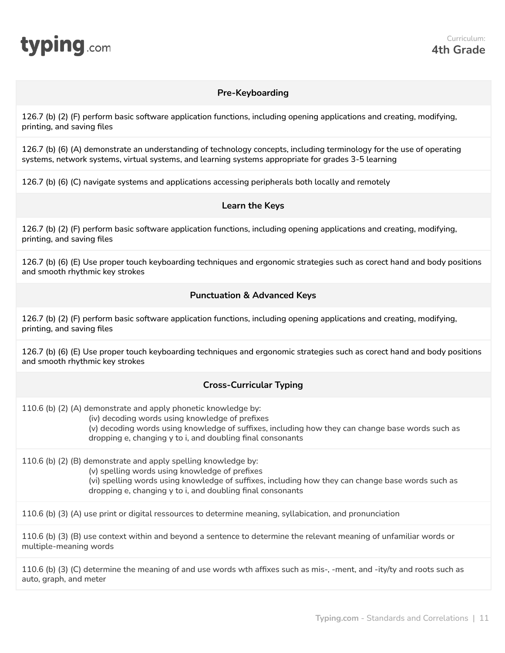<span id="page-10-0"></span>

#### **Pre-Keyboarding**

126.7 (b) (2) (F) perform basic software application functions, including opening applications and creating, modifying, printing, and saving files

126.7 (b) (6) (A) demonstrate an understanding of technology concepts, including terminology for the use of operating systems, network systems, virtual systems, and learning systems appropriate for grades 3-5 learning

126.7 (b) (6) (C) navigate systems and applications accessing peripherals both locally and remotely

#### **Learn the Keys**

126.7 (b) (2) (F) perform basic software application functions, including opening applications and creating, modifying, printing, and saving files

126.7 (b) (6) (E) Use proper touch keyboarding techniques and ergonomic strategies such as corect hand and body positions and smooth rhythmic key strokes

#### **Punctuation & Advanced Keys**

126.7 (b) (2) (F) perform basic software application functions, including opening applications and creating, modifying, printing, and saving files

126.7 (b) (6) (E) Use proper touch keyboarding techniques and ergonomic strategies such as corect hand and body positions and smooth rhythmic key strokes

#### **Cross-Curricular Typing**

110.6 (b) (2) (A) demonstrate and apply phonetic knowledge by:

(iv) decoding words using knowledge of prefixes

(v) decoding words using knowledge of suffixes, including how they can change base words such as dropping e, changing y to i, and doubling final consonants

110.6 (b) (2) (B) demonstrate and apply spelling knowledge by:

(v) spelling words using knowledge of prefixes

(vi) spelling words using knowledge of suffixes, including how they can change base words such as dropping e, changing y to i, and doubling final consonants

110.6 (b) (3) (A) use print or digital ressources to determine meaning, syllabication, and pronunciation

110.6 (b) (3) (B) use context within and beyond a sentence to determine the relevant meaning of unfamiliar words or multiple-meaning words

110.6 (b) (3) (C) determine the meaning of and use words wth affixes such as mis-, -ment, and -ity/ty and roots such as auto, graph, and meter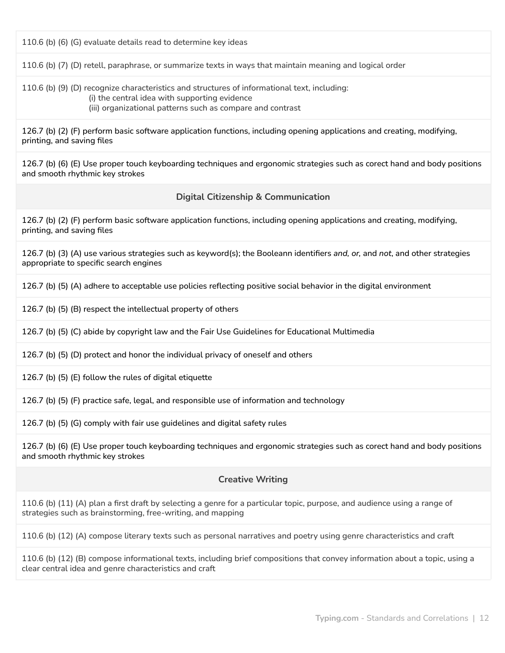110.6 (b) (6) (G) evaluate details read to determine key ideas

110.6 (b) (7) (D) retell, paraphrase, or summarize texts in ways that maintain meaning and logical order

110.6 (b) (9) (D) recognize characteristics and structures of informational text, including: (i) the central idea with supporting evidence (iii) organizational patterns such as compare and contrast

126.7 (b) (2) (F) perform basic software application functions, including opening applications and creating, modifying, printing, and saving files

126.7 (b) (6) (E) Use proper touch keyboarding techniques and ergonomic strategies such as corect hand and body positions and smooth rhythmic key strokes

#### **Digital Citizenship & Communication**

126.7 (b) (2) (F) perform basic software application functions, including opening applications and creating, modifying, printing, and saving files

126.7 (b) (3) (A) use various strategies such as keyword(s); the Booleann identifiers *and, or,* and *not*, and other strategies appropriate to specific search engines

126.7 (b) (5) (A) adhere to acceptable use policies reflecting positive social behavior in the digital environment

126.7 (b) (5) (B) respect the intellectual property of others

126.7 (b) (5) (C) abide by copyright law and the Fair Use Guidelines for Educational Multimedia

126.7 (b) (5) (D) protect and honor the individual privacy of oneself and others

126.7 (b) (5) (E) follow the rules of digital etiquette

126.7 (b) (5) (F) practice safe, legal, and responsible use of information and technology

126.7 (b) (5) (G) comply with fair use guidelines and digital safety rules

126.7 (b) (6) (E) Use proper touch keyboarding techniques and ergonomic strategies such as corect hand and body positions and smooth rhythmic key strokes

#### **Creative Writing**

110.6 (b) (11) (A) plan a first draft by selecting a genre for a particular topic, purpose, and audience using a range of strategies such as brainstorming, free-writing, and mapping

110.6 (b) (12) (A) compose literary texts such as personal narratives and poetry using genre characteristics and craft

110.6 (b) (12) (B) compose informational texts, including brief compositions that convey information about a topic, using a clear central idea and genre characteristics and craft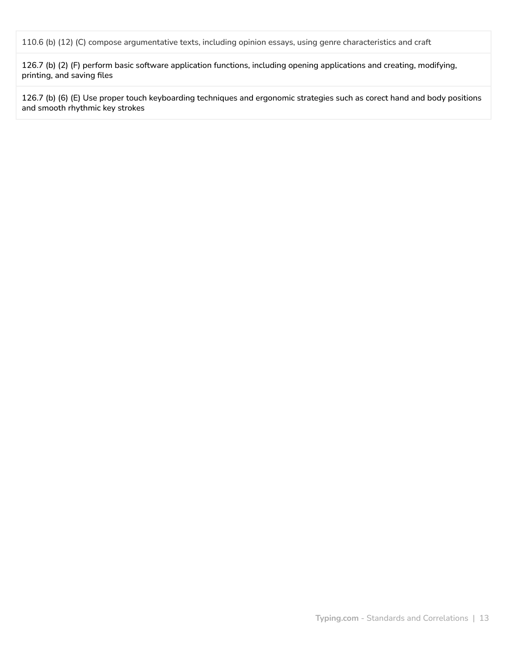110.6 (b) (12) (C) compose argumentative texts, including opinion essays, using genre characteristics and craft

126.7 (b) (2) (F) perform basic software application functions, including opening applications and creating, modifying, printing, and saving files

126.7 (b) (6) (E) Use proper touch keyboarding techniques and ergonomic strategies such as corect hand and body positions and smooth rhythmic key strokes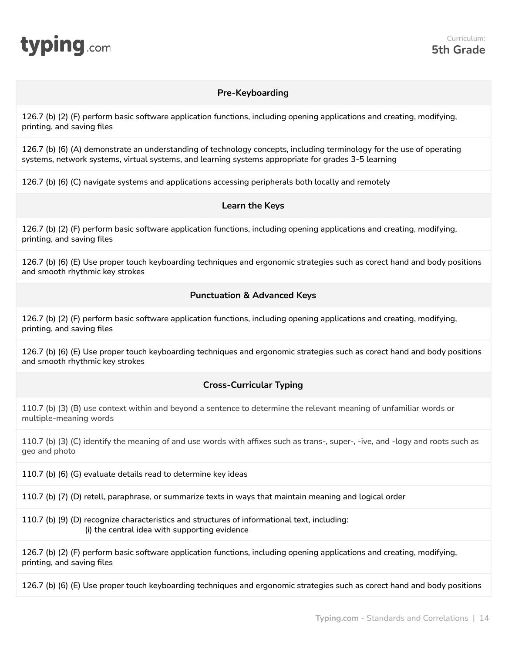<span id="page-13-0"></span>

#### **Pre-Keyboarding**

126.7 (b) (2) (F) perform basic software application functions, including opening applications and creating, modifying, printing, and saving files

126.7 (b) (6) (A) demonstrate an understanding of technology concepts, including terminology for the use of operating systems, network systems, virtual systems, and learning systems appropriate for grades 3-5 learning

126.7 (b) (6) (C) navigate systems and applications accessing peripherals both locally and remotely

#### **Learn the Keys**

126.7 (b) (2) (F) perform basic software application functions, including opening applications and creating, modifying, printing, and saving files

126.7 (b) (6) (E) Use proper touch keyboarding techniques and ergonomic strategies such as corect hand and body positions and smooth rhythmic key strokes

#### **Punctuation & Advanced Keys**

126.7 (b) (2) (F) perform basic software application functions, including opening applications and creating, modifying, printing, and saving files

126.7 (b) (6) (E) Use proper touch keyboarding techniques and ergonomic strategies such as corect hand and body positions and smooth rhythmic key strokes

#### **Cross-Curricular Typing**

110.7 (b) (3) (B) use context within and beyond a sentence to determine the relevant meaning of unfamiliar words or multiple-meaning words

110.7 (b) (3) (C) identify the meaning of and use words with affixes such as trans-, super-, -ive, and -logy and roots such as geo and photo

110.7 (b) (6) (G) evaluate details read to determine key ideas

110.7 (b) (7) (D) retell, paraphrase, or summarize texts in ways that maintain meaning and logical order

110.7 (b) (9) (D) recognize characteristics and structures of informational text, including: (i) the central idea with supporting evidence

126.7 (b) (2) (F) perform basic software application functions, including opening applications and creating, modifying, printing, and saving files

126.7 (b) (6) (E) Use proper touch keyboarding techniques and ergonomic strategies such as corect hand and body positions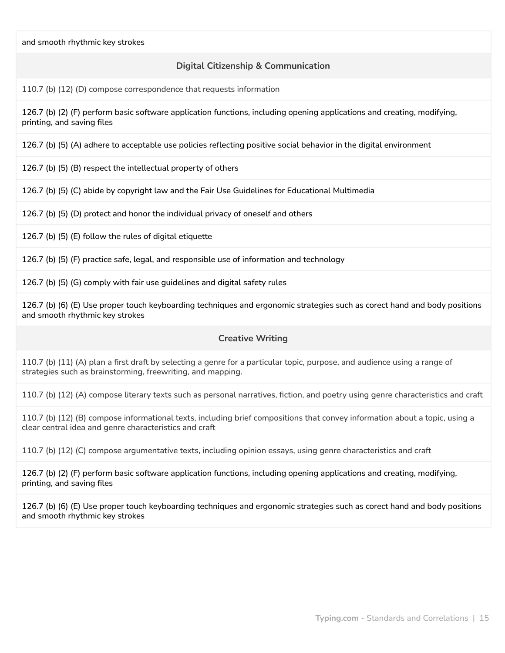#### **Digital Citizenship & Communication**

110.7 (b) (12) (D) compose correspondence that requests information

126.7 (b) (2) (F) perform basic software application functions, including opening applications and creating, modifying, printing, and saving files

126.7 (b) (5) (A) adhere to acceptable use policies reflecting positive social behavior in the digital environment

126.7 (b) (5) (B) respect the intellectual property of others

126.7 (b) (5) (C) abide by copyright law and the Fair Use Guidelines for Educational Multimedia

126.7 (b) (5) (D) protect and honor the individual privacy of oneself and others

126.7 (b) (5) (E) follow the rules of digital etiquette

126.7 (b) (5) (F) practice safe, legal, and responsible use of information and technology

126.7 (b) (5) (G) comply with fair use guidelines and digital safety rules

126.7 (b) (6) (E) Use proper touch keyboarding techniques and ergonomic strategies such as corect hand and body positions and smooth rhythmic key strokes

#### **Creative Writing**

110.7 (b) (11) (A) plan a first draft by selecting a genre for a particular topic, purpose, and audience using a range of strategies such as brainstorming, freewriting, and mapping.

110.7 (b) (12) (A) compose literary texts such as personal narratives, fiction, and poetry using genre characteristics and craft

110.7 (b) (12) (B) compose informational texts, including brief compositions that convey information about a topic, using a clear central idea and genre characteristics and craft

110.7 (b) (12) (C) compose argumentative texts, including opinion essays, using genre characteristics and craft

126.7 (b) (2) (F) perform basic software application functions, including opening applications and creating, modifying, printing, and saving files

126.7 (b) (6) (E) Use proper touch keyboarding techniques and ergonomic strategies such as corect hand and body positions and smooth rhythmic key strokes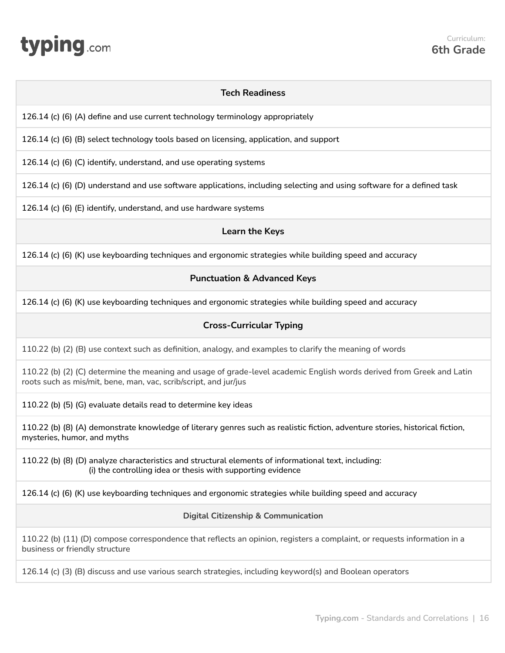# <span id="page-15-0"></span>**typing**.com

#### **Tech Readiness**

126.14 (c) (6) (A) define and use current technology terminology appropriately

126.14 (c) (6) (B) select technology tools based on licensing, application, and support

126.14 (c) (6) (C) identify, understand, and use operating systems

126.14 (c) (6) (D) understand and use software applications, including selecting and using software for a defined task

126.14 (c) (6) (E) identify, understand, and use hardware systems

#### **Learn the Keys**

126.14 (c) (6) (K) use keyboarding techniques and ergonomic strategies while building speed and accuracy

#### **Punctuation & Advanced Keys**

126.14 (c) (6) (K) use keyboarding techniques and ergonomic strategies while building speed and accuracy

#### **Cross-Curricular Typing**

110.22 (b) (2) (B) use context such as definition, analogy, and examples to clarify the meaning of words

110.22 (b) (2) (C) determine the meaning and usage of grade-level academic English words derived from Greek and Latin roots such as mis/mit, bene, man, vac, scrib/script, and jur/jus

110.22 (b) (5) (G) evaluate details read to determine key ideas

110.22 (b) (8) (A) demonstrate knowledge of literary genres such as realistic fiction, adventure stories, historical fiction, mysteries, humor, and myths

110.22 (b) (8) (D) analyze characteristics and structural elements of informational text, including: (i) the controlling idea or thesis with supporting evidence

126.14 (c) (6) (K) use keyboarding techniques and ergonomic strategies while building speed and accuracy

#### **Digital Citizenship & Communication**

110.22 (b) (11) (D) compose correspondence that reflects an opinion, registers a complaint, or requests information in a business or friendly structure

126.14 (c) (3) (B) discuss and use various search strategies, including keyword(s) and Boolean operators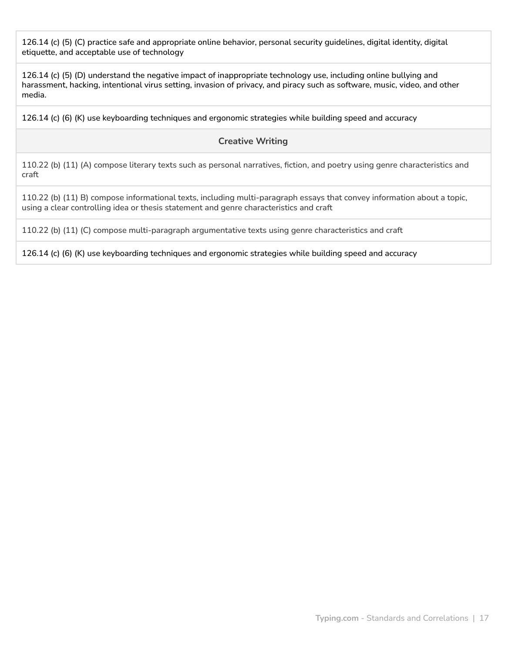126.14 (c) (5) (C) practice safe and appropriate online behavior, personal security guidelines, digital identity, digital etiquette, and acceptable use of technology

126.14 (c) (5) (D) understand the negative impact of inappropriate technology use, including online bullying and harassment, hacking, intentional virus setting, invasion of privacy, and piracy such as software, music, video, and other media.

126.14 (c) (6) (K) use keyboarding techniques and ergonomic strategies while building speed and accuracy

#### **Creative Writing**

110.22 (b) (11) (A) compose literary texts such as personal narratives, fiction, and poetry using genre characteristics and craft

110.22 (b) (11) B) compose informational texts, including multi-paragraph essays that convey information about a topic, using a clear controlling idea or thesis statement and genre characteristics and craft

110.22 (b) (11) (C) compose multi-paragraph argumentative texts using genre characteristics and craft

126.14 (c) (6) (K) use keyboarding techniques and ergonomic strategies while building speed and accuracy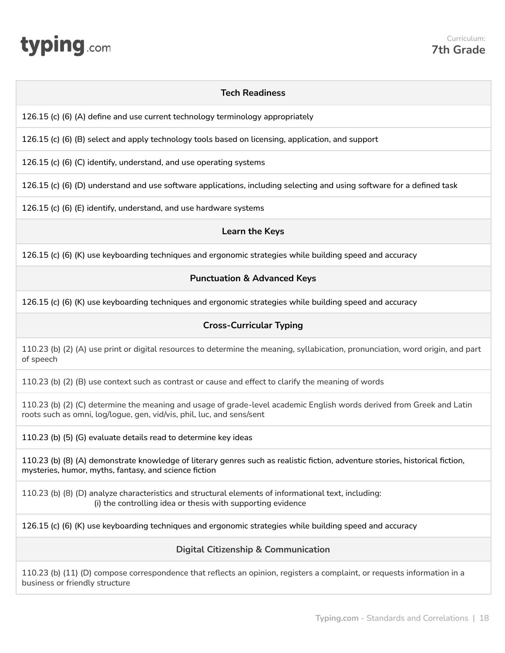# <span id="page-17-0"></span>**typing**.com

#### **Tech Readiness**

126.15 (c) (6) (A) define and use current technology terminology appropriately

126.15 (c) (6) (B) select and apply technology tools based on licensing, application, and support

126.15 (c) (6) (C) identify, understand, and use operating systems

126.15 (c) (6) (D) understand and use software applications, including selecting and using software for a defined task

126.15 (c) (6) (E) identify, understand, and use hardware systems

#### **Learn the Keys**

126.15 (c) (6) (K) use keyboarding techniques and ergonomic strategies while building speed and accuracy

#### **Punctuation & Advanced Keys**

126.15 (c) (6) (K) use keyboarding techniques and ergonomic strategies while building speed and accuracy

#### **Cross-Curricular Typing**

110.23 (b) (2) (A) use print or digital resources to determine the meaning, syllabication, pronunciation, word origin, and part of speech

110.23 (b) (2) (B) use context such as contrast or cause and effect to clarify the meaning of words

110.23 (b) (2) (C) determine the meaning and usage of grade-level academic English words derived from Greek and Latin roots such as omni, log/logue, gen, vid/vis, phil, luc, and sens/sent

110.23 (b) (5) (G) evaluate details read to determine key ideas

110.23 (b) (8) (A) demonstrate knowledge of literary genres such as realistic fiction, adventure stories, historical fiction, mysteries, humor, myths, fantasy, and science fiction

110.23 (b) (8) (D) analyze characteristics and structural elements of informational text, including: (i) the controlling idea or thesis with supporting evidence

126.15 (c) (6) (K) use keyboarding techniques and ergonomic strategies while building speed and accuracy

**Digital Citizenship & Communication**

110.23 (b) (11) (D) compose correspondence that reflects an opinion, registers a complaint, or requests information in a business or friendly structure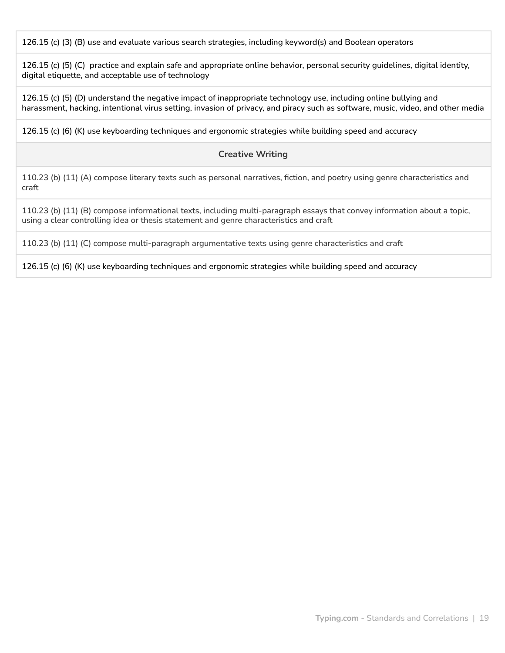126.15 (c) (3) (B) use and evaluate various search strategies, including keyword(s) and Boolean operators

126.15 (c) (5) (C) practice and explain safe and appropriate online behavior, personal security guidelines, digital identity, digital etiquette, and acceptable use of technology

126.15 (c) (5) (D) understand the negative impact of inappropriate technology use, including online bullying and harassment, hacking, intentional virus setting, invasion of privacy, and piracy such as software, music, video, and other media

126.15 (c) (6) (K) use keyboarding techniques and ergonomic strategies while building speed and accuracy

#### **Creative Writing**

110.23 (b) (11) (A) compose literary texts such as personal narratives, fiction, and poetry using genre characteristics and craft

110.23 (b) (11) (B) compose informational texts, including multi-paragraph essays that convey information about a topic, using a clear controlling idea or thesis statement and genre characteristics and craft

110.23 (b) (11) (C) compose multi-paragraph argumentative texts using genre characteristics and craft

126.15 (c) (6) (K) use keyboarding techniques and ergonomic strategies while building speed and accuracy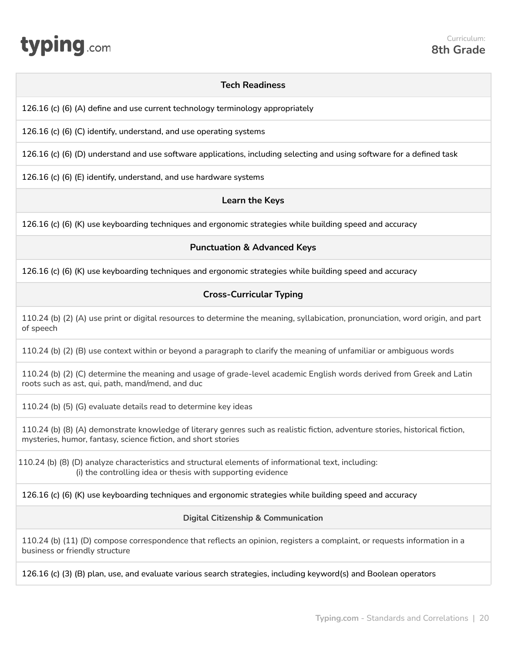<span id="page-19-0"></span>

#### **Tech Readiness**

126.16 (c) (6) (A) define and use current technology terminology appropriately

126.16 (c) (6) (C) identify, understand, and use operating systems

126.16 (c) (6) (D) understand and use software applications, including selecting and using software for a defined task

126.16 (c) (6) (E) identify, understand, and use hardware systems

#### **Learn the Keys**

126.16 (c) (6) (K) use keyboarding techniques and ergonomic strategies while building speed and accuracy

#### **Punctuation & Advanced Keys**

126.16 (c) (6) (K) use keyboarding techniques and ergonomic strategies while building speed and accuracy

#### **Cross-Curricular Typing**

110.24 (b) (2) (A) use print or digital resources to determine the meaning, syllabication, pronunciation, word origin, and part of speech

110.24 (b) (2) (B) use context within or beyond a paragraph to clarify the meaning of unfamiliar or ambiguous words

110.24 (b) (2) (C) determine the meaning and usage of grade-level academic English words derived from Greek and Latin roots such as ast, qui, path, mand/mend, and duc

110.24 (b) (5) (G) evaluate details read to determine key ideas

110.24 (b) (8) (A) demonstrate knowledge of literary genres such as realistic fiction, adventure stories, historical fiction, mysteries, humor, fantasy, science fiction, and short stories

110.24 (b) (8) (D) analyze characteristics and structural elements of informational text, including: (i) the controlling idea or thesis with supporting evidence

126.16 (c) (6) (K) use keyboarding techniques and ergonomic strategies while building speed and accuracy

#### **Digital Citizenship & Communication**

110.24 (b) (11) (D) compose correspondence that reflects an opinion, registers a complaint, or requests information in a business or friendly structure

126.16 (c) (3) (B) plan, use, and evaluate various search strategies, including keyword(s) and Boolean operators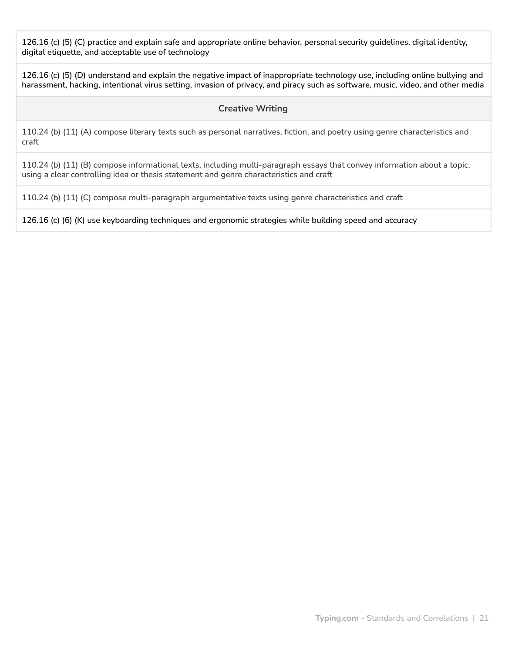126.16 (c) (5) (C) practice and explain safe and appropriate online behavior, personal security guidelines, digital identity, digital etiquette, and acceptable use of technology

126.16 (c) (5) (D) understand and explain the negative impact of inappropriate technology use, including online bullying and harassment, hacking, intentional virus setting, invasion of privacy, and piracy such as software, music, video, and other media

#### **Creative Writing**

110.24 (b) (11) (A) compose literary texts such as personal narratives, fiction, and poetry using genre characteristics and craft

110.24 (b) (11) (B) compose informational texts, including multi-paragraph essays that convey information about a topic, using a clear controlling idea or thesis statement and genre characteristics and craft

110.24 (b) (11) (C) compose multi-paragraph argumentative texts using genre characteristics and craft

126.16 (c) (6) (K) use keyboarding techniques and ergonomic strategies while building speed and accuracy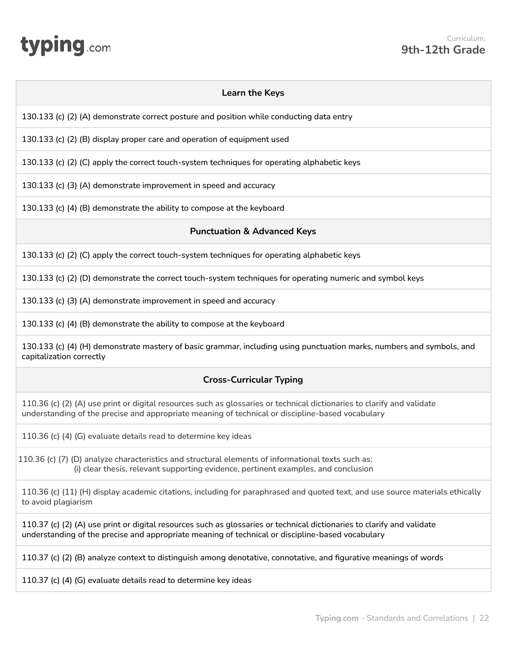# <span id="page-21-0"></span>typing.com

| <b>Learn the Keys</b>                                                                                                                                                                                                      |  |
|----------------------------------------------------------------------------------------------------------------------------------------------------------------------------------------------------------------------------|--|
| 130.133 (c) (2) (A) demonstrate correct posture and position while conducting data entry                                                                                                                                   |  |
| 130.133 (c) (2) (B) display proper care and operation of equipment used                                                                                                                                                    |  |
| 130.133 (c) (2) (C) apply the correct touch-system techniques for operating alphabetic keys                                                                                                                                |  |
| 130.133 (c) (3) (A) demonstrate improvement in speed and accuracy                                                                                                                                                          |  |
| 130.133 (c) (4) (B) demonstrate the ability to compose at the keyboard                                                                                                                                                     |  |
| <b>Punctuation &amp; Advanced Keys</b>                                                                                                                                                                                     |  |
| 130.133 (c) (2) (C) apply the correct touch-system techniques for operating alphabetic keys                                                                                                                                |  |
| 130.133 (c) (2) (D) demonstrate the correct touch-system techniques for operating numeric and symbol keys                                                                                                                  |  |
| 130.133 (c) (3) (A) demonstrate improvement in speed and accuracy                                                                                                                                                          |  |
| 130.133 (c) (4) (B) demonstrate the ability to compose at the keyboard                                                                                                                                                     |  |
| 130.133 (c) (4) (H) demonstrate mastery of basic grammar, including using punctuation marks, numbers and symbols, and<br>capitalization correctly                                                                          |  |
| <b>Cross-Curricular Typing</b>                                                                                                                                                                                             |  |
| 110.36 (c) (2) (A) use print or digital resources such as glossaries or technical dictionaries to clarify and validate<br>understanding of the precise and appropriate meaning of technical or discipline-based vocabulary |  |
| 110.36 (c) (4) (G) evaluate details read to determine key ideas                                                                                                                                                            |  |
| 110.36 (c) (7) (D) analyze characteristics and structural elements of informational texts such as:<br>(i) clear thesis, relevant supporting evidence, pertinent examples, and conclusion                                   |  |
| 110.36 (c) (11) (H) display academic citations, including for paraphrased and quoted text, and use source materials ethically<br>to avoid plagiarism                                                                       |  |
| 110.37 (c) (2) (A) use print or digital resources such as glossaries or technical dictionaries to clarify and validate<br>understanding of the precise and appropriate meaning of technical or discipline-based vocabulary |  |
| 110.37 (c) (2) (B) analyze context to distinguish among denotative, connotative, and figurative meanings of words                                                                                                          |  |
|                                                                                                                                                                                                                            |  |

110.37 (c) (4) (G) evaluate details read to determine key ideas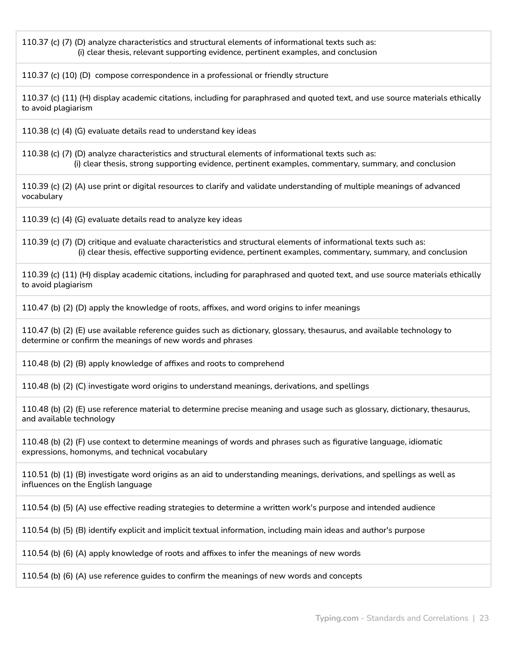110.37 (c) (7) (D) analyze characteristics and structural elements of informational texts such as: (i) clear thesis, relevant supporting evidence, pertinent examples, and conclusion

110.37 (c) (10) (D) compose correspondence in a professional or friendly structure

110.37 (c) (11) (H) display academic citations, including for paraphrased and quoted text, and use source materials ethically to avoid plagiarism

110.38 (c) (4) (G) evaluate details read to understand key ideas

110.38 (c) (7) (D) analyze characteristics and structural elements of informational texts such as: (i) clear thesis, strong supporting evidence, pertinent examples, commentary, summary, and conclusion

110.39 (c) (2) (A) use print or digital resources to clarify and validate understanding of multiple meanings of advanced vocabulary

110.39 (c) (4) (G) evaluate details read to analyze key ideas

110.39 (c) (7) (D) critique and evaluate characteristics and structural elements of informational texts such as: (i) clear thesis, effective supporting evidence, pertinent examples, commentary, summary, and conclusion

110.39 (c) (11) (H) display academic citations, including for paraphrased and quoted text, and use source materials ethically to avoid plagiarism

110.47 (b) (2) (D) apply the knowledge of roots, affixes, and word origins to infer meanings

110.47 (b) (2) (E) use available reference guides such as dictionary, glossary, thesaurus, and available technology to determine or confirm the meanings of new words and phrases

110.48 (b) (2) (B) apply knowledge of affixes and roots to comprehend

110.48 (b) (2) (C) investigate word origins to understand meanings, derivations, and spellings

110.48 (b) (2) (E) use reference material to determine precise meaning and usage such as glossary, dictionary, thesaurus, and available technology

110.48 (b) (2) (F) use context to determine meanings of words and phrases such as figurative language, idiomatic expressions, homonyms, and technical vocabulary

110.51 (b) (1) (B) investigate word origins as an aid to understanding meanings, derivations, and spellings as well as influences on the English language

110.54 (b) (5) (A) use effective reading strategies to determine a written work's purpose and intended audience

110.54 (b) (5) (B) identify explicit and implicit textual information, including main ideas and author's purpose

110.54 (b) (6) (A) apply knowledge of roots and affixes to infer the meanings of new words

110.54 (b) (6) (A) use reference guides to confirm the meanings of new words and concepts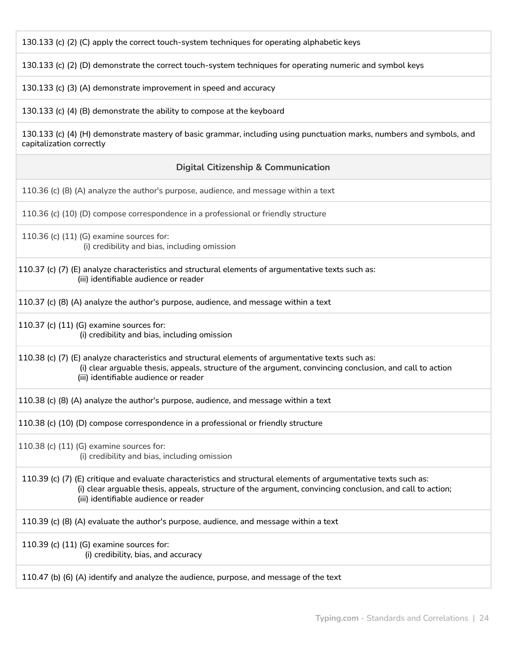130.133 (c) (2) (C) apply the correct touch-system techniques for operating alphabetic keys

130.133 (c) (2) (D) demonstrate the correct touch-system techniques for operating numeric and symbol keys

130.133 (c) (3) (A) demonstrate improvement in speed and accuracy

130.133 (c) (4) (B) demonstrate the ability to compose at the keyboard

130.133 (c) (4) (H) demonstrate mastery of basic grammar, including using punctuation marks, numbers and symbols, and capitalization correctly

#### **Digital Citizenship & Communication**

110.36 (c) (8) (A) analyze the author's purpose, audience, and message within a text

110.36 (c) (10) (D) compose correspondence in a professional or friendly structure

- 110.36 (c) (11) (G) examine sources for: (i) credibility and bias, including omission
- 110.37 (c) (7) (E) analyze characteristics and structural elements of argumentative texts such as: (iii) identifiable audience or reader
- 110.37 (c) (8) (A) analyze the author's purpose, audience, and message within a text
- 110.37 (c) (11) (G) examine sources for: (i) credibility and bias, including omission

110.38 (c) (7) (E) analyze characteristics and structural elements of argumentative texts such as: (i) clear arguable thesis, appeals, structure of the argument, convincing conclusion, and call to action (iii) identifiable audience or reader

110.38 (c) (8) (A) analyze the author's purpose, audience, and message within a text

110.38 (c) (10) (D) compose correspondence in a professional or friendly structure

110.38 (c) (11) (G) examine sources for: (i) credibility and bias, including omission

110.39 (c) (7) (E) critique and evaluate characteristics and structural elements of argumentative texts such as: (i) clear arguable thesis, appeals, structure of the argument, convincing conclusion, and call to action; (iii) identifiable audience or reader

110.39 (c) (8) (A) evaluate the author's purpose, audience, and message within a text

110.39 (c) (11) (G) examine sources for: (i) credibility, bias, and accuracy

110.47 (b) (6) (A) identify and analyze the audience, purpose, and message of the text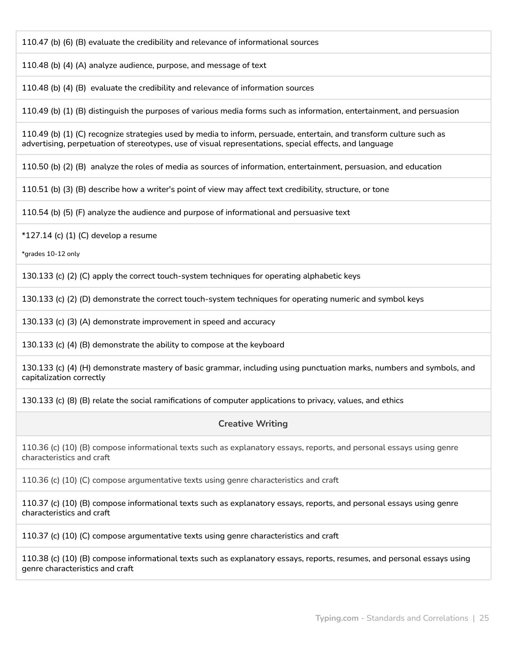110.47 (b) (6) (B) evaluate the credibility and relevance of informational sources

110.48 (b) (4) (A) analyze audience, purpose, and message of text

110.48 (b) (4) (B) evaluate the credibility and relevance of information sources

110.49 (b) (1) (B) distinguish the purposes of various media forms such as information, entertainment, and persuasion

110.49 (b) (1) (C) recognize strategies used by media to inform, persuade, entertain, and transform culture such as advertising, perpetuation of stereotypes, use of visual representations, special effects, and language

110.50 (b) (2) (B) analyze the roles of media as sources of information, entertainment, persuasion, and education

110.51 (b) (3) (B) describe how a writer's point of view may affect text credibility, structure, or tone

110.54 (b) (5) (F) analyze the audience and purpose of informational and persuasive text

 $*127.14$  (c) (1) (C) develop a resume

\*grades 10-12 only

130.133 (c) (2) (C) apply the correct touch-system techniques for operating alphabetic keys

130.133 (c) (2) (D) demonstrate the correct touch-system techniques for operating numeric and symbol keys

130.133 (c) (3) (A) demonstrate improvement in speed and accuracy

130.133 (c) (4) (B) demonstrate the ability to compose at the keyboard

130.133 (c) (4) (H) demonstrate mastery of basic grammar, including using punctuation marks, numbers and symbols, and capitalization correctly

130.133 (c) (8) (B) relate the social ramifications of computer applications to privacy, values, and ethics

#### **Creative Writing**

110.36 (c) (10) (B) compose informational texts such as explanatory essays, reports, and personal essays using genre characteristics and craft

110.36 (c) (10) (C) compose argumentative texts using genre characteristics and craft

110.37 (c) (10) (B) compose informational texts such as explanatory essays, reports, and personal essays using genre characteristics and craft

110.37 (c) (10) (C) compose argumentative texts using genre characteristics and craft

110.38 (c) (10) (B) compose informational texts such as explanatory essays, reports, resumes, and personal essays using genre characteristics and craft